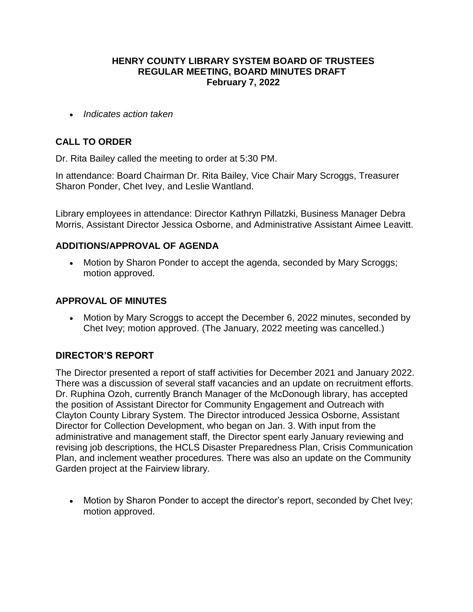#### **HENRY COUNTY LIBRARY SYSTEM BOARD OF TRUSTEES REGULAR MEETING, BOARD MINUTES DRAFT February 7, 2022**

*Indicates action taken*

# **CALL TO ORDER**

Dr. Rita Bailey called the meeting to order at 5:30 PM.

In attendance: Board Chairman Dr. Rita Bailey, Vice Chair Mary Scroggs, Treasurer Sharon Ponder, Chet Ivey, and Leslie Wantland.

Library employees in attendance: Director Kathryn Pillatzki, Business Manager Debra Morris, Assistant Director Jessica Osborne, and Administrative Assistant Aimee Leavitt.

## **ADDITIONS/APPROVAL OF AGENDA**

 Motion by Sharon Ponder to accept the agenda, seconded by Mary Scroggs; motion approved.

## **APPROVAL OF MINUTES**

 Motion by Mary Scroggs to accept the December 6, 2022 minutes, seconded by Chet Ivey; motion approved. (The January, 2022 meeting was cancelled.)

# **DIRECTOR'S REPORT**

The Director presented a report of staff activities for December 2021 and January 2022. There was a discussion of several staff vacancies and an update on recruitment efforts. Dr. Ruphina Ozoh, currently Branch Manager of the McDonough library, has accepted the position of Assistant Director for Community Engagement and Outreach with Clayton County Library System. The Director introduced Jessica Osborne, Assistant Director for Collection Development, who began on Jan. 3. With input from the administrative and management staff, the Director spent early January reviewing and revising job descriptions, the HCLS Disaster Preparedness Plan, Crisis Communication Plan, and inclement weather procedures. There was also an update on the Community Garden project at the Fairview library.

• Motion by Sharon Ponder to accept the director's report, seconded by Chet Ivey; motion approved.